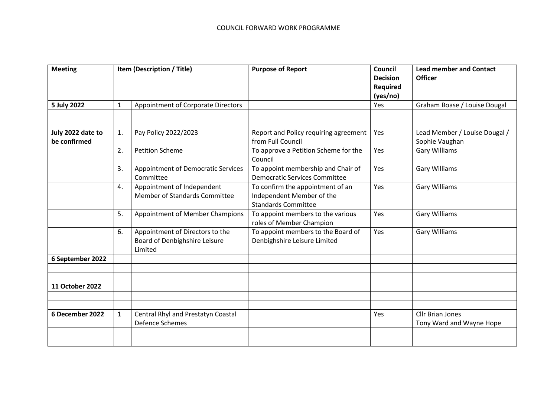| <b>Meeting</b>    | Item (Description / Title) |                                                                             | <b>Purpose of Report</b>                                                                    | Council<br><b>Decision</b><br>Required<br>(yes/no) | <b>Lead member and Contact</b><br><b>Officer</b>    |
|-------------------|----------------------------|-----------------------------------------------------------------------------|---------------------------------------------------------------------------------------------|----------------------------------------------------|-----------------------------------------------------|
| 5 July 2022       | $\mathbf{1}$               | Appointment of Corporate Directors                                          |                                                                                             | Yes                                                | Graham Boase / Louise Dougal                        |
|                   |                            |                                                                             |                                                                                             |                                                    |                                                     |
| July 2022 date to | 1.                         | Pay Policy 2022/2023                                                        | Report and Policy requiring agreement                                                       | Yes                                                | Lead Member / Louise Dougal /                       |
| be confirmed      |                            |                                                                             | from Full Council                                                                           |                                                    | Sophie Vaughan                                      |
|                   | 2.                         | <b>Petition Scheme</b>                                                      | To approve a Petition Scheme for the<br>Council                                             | Yes                                                | <b>Gary Williams</b>                                |
|                   | 3.                         | Appointment of Democratic Services<br>Committee                             | To appoint membership and Chair of<br><b>Democratic Services Committee</b>                  | Yes                                                | <b>Gary Williams</b>                                |
|                   | 4.                         | Appointment of Independent<br><b>Member of Standards Committee</b>          | To confirm the appointment of an<br>Independent Member of the<br><b>Standards Committee</b> | Yes                                                | <b>Gary Williams</b>                                |
|                   | 5.                         | <b>Appointment of Member Champions</b>                                      | To appoint members to the various<br>roles of Member Champion                               | Yes                                                | <b>Gary Williams</b>                                |
|                   | 6.                         | Appointment of Directors to the<br>Board of Denbighshire Leisure<br>Limited | To appoint members to the Board of<br>Denbighshire Leisure Limited                          | Yes                                                | <b>Gary Williams</b>                                |
| 6 September 2022  |                            |                                                                             |                                                                                             |                                                    |                                                     |
|                   |                            |                                                                             |                                                                                             |                                                    |                                                     |
| 11 October 2022   |                            |                                                                             |                                                                                             |                                                    |                                                     |
|                   |                            |                                                                             |                                                                                             |                                                    |                                                     |
|                   |                            |                                                                             |                                                                                             |                                                    |                                                     |
| 6 December 2022   | 1                          | Central Rhyl and Prestatyn Coastal<br>Defence Schemes                       |                                                                                             | Yes                                                | <b>Cllr Brian Jones</b><br>Tony Ward and Wayne Hope |
|                   |                            |                                                                             |                                                                                             |                                                    |                                                     |
|                   |                            |                                                                             |                                                                                             |                                                    |                                                     |